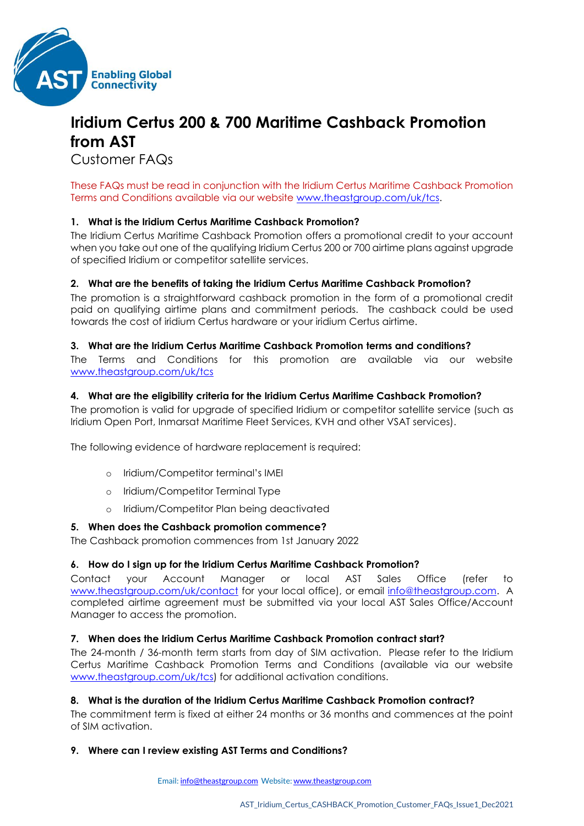

# **Iridium Certus 200 & 700 Maritime Cashback Promotion from AST**

Customer FAQs

These FAQs must be read in conjunction with the Iridium Certus Maritime Cashback Promotion Terms and Conditions available via our website [www.theastgroup.com/uk/tcs.](http://www.theastgroup.com/uk/tcs)

## **1. What is the Iridium Certus Maritime Cashback Promotion?**

The Iridium Certus Maritime Cashback Promotion offers a promotional credit to your account when you take out one of the qualifying Iridium Certus 200 or 700 airtime plans against upgrade of specified Iridium or competitor satellite services.

## **2. What are the benefits of taking the Iridium Certus Maritime Cashback Promotion?**

The promotion is a straightforward cashback promotion in the form of a promotional credit paid on qualifying airtime plans and commitment periods. The cashback could be used towards the cost of iridium Certus hardware or your iridium Certus airtime.

#### **3. What are the Iridium Certus Maritime Cashback Promotion terms and conditions?**

The Terms and Conditions for this promotion are available via our website [www.theastgroup.com/uk/tcs](http://www.theastgroup.com/uk/tcs/)

## **4. What are the eligibility criteria for the Iridium Certus Maritime Cashback Promotion?**

The promotion is valid for upgrade of specified Iridium or competitor satellite service (such as Iridium Open Port, Inmarsat Maritime Fleet Services, KVH and other VSAT services).

The following evidence of hardware replacement is required:

- o Iridium/Competitor terminal's IMEI
- o Iridium/Competitor Terminal Type
- o Iridium/Competitor Plan being deactivated

#### **5. When does the Cashback promotion commence?**

The Cashback promotion commences from 1st January 2022

## **6. How do I sign up for the Iridium Certus Maritime Cashback Promotion?**

Contact your Account Manager or local AST Sales Office (refer to [www.theastgroup.com/uk/contact](http://www.theastgroup.com/uk/contact/) for your local office), or email [info@theastgroup.com.](mailto:info@theastgroup.com) A completed airtime agreement must be submitted via your local AST Sales Office/Account Manager to access the promotion.

## **7. When does the Iridium Certus Maritime Cashback Promotion contract start?**

The 24-month / 36-month term starts from day of SIM activation. Please refer to the Iridium Certus Maritime Cashback Promotion Terms and Conditions (available via our website [www.theastgroup.com/uk/tcs\)](http://www.theastgroup.com/uk/tcs) for additional activation conditions.

## **8. What is the duration of the Iridium Certus Maritime Cashback Promotion contract?**

The commitment term is fixed at either 24 months or 36 months and commences at the point of SIM activation.

## **9. Where can I review existing AST Terms and Conditions?**

Email[: info@theastgroup.com](mailto:info@theastgroup.com) Website[: www.theastgroup.com](http://www.theastgroup.com/)